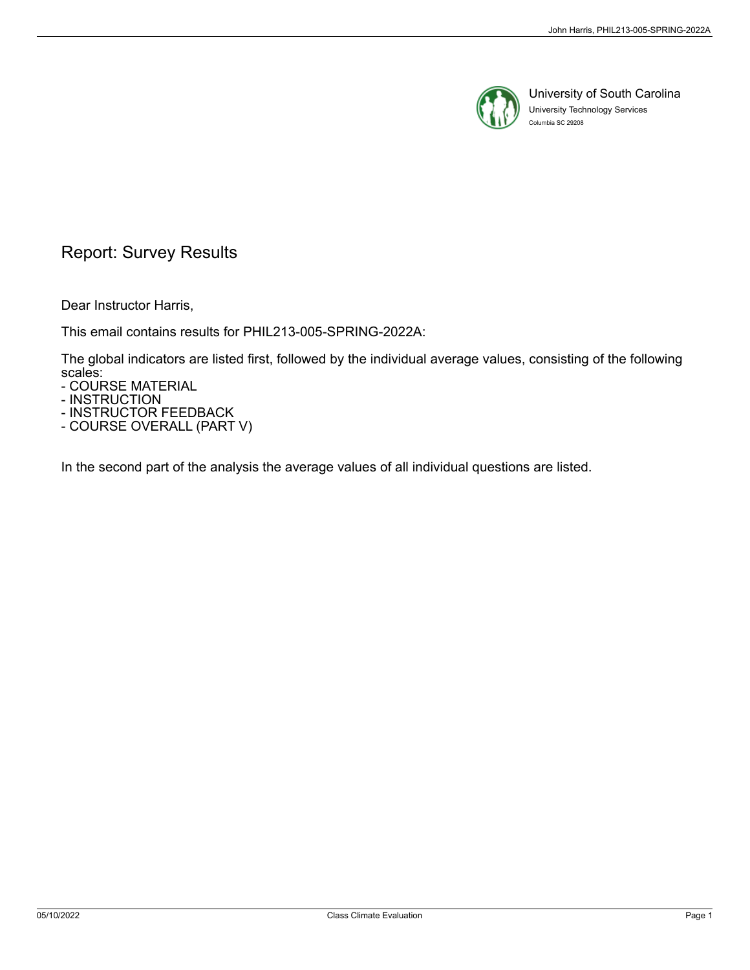

University of South Carolina University Technology Services Columbia SC 29208

## Report: Survey Results

Dear Instructor Harris,

This email contains results for PHIL213-005-SPRING-2022A:

The global indicators are listed first, followed by the individual average values, consisting of the following scales:

- COURSE MATERIAL

- INSTRUCTION

- INSTRUCTOR FEEDBACK

- COURSE OVERALL (PART V)

In the second part of the analysis the average values of all individual questions are listed.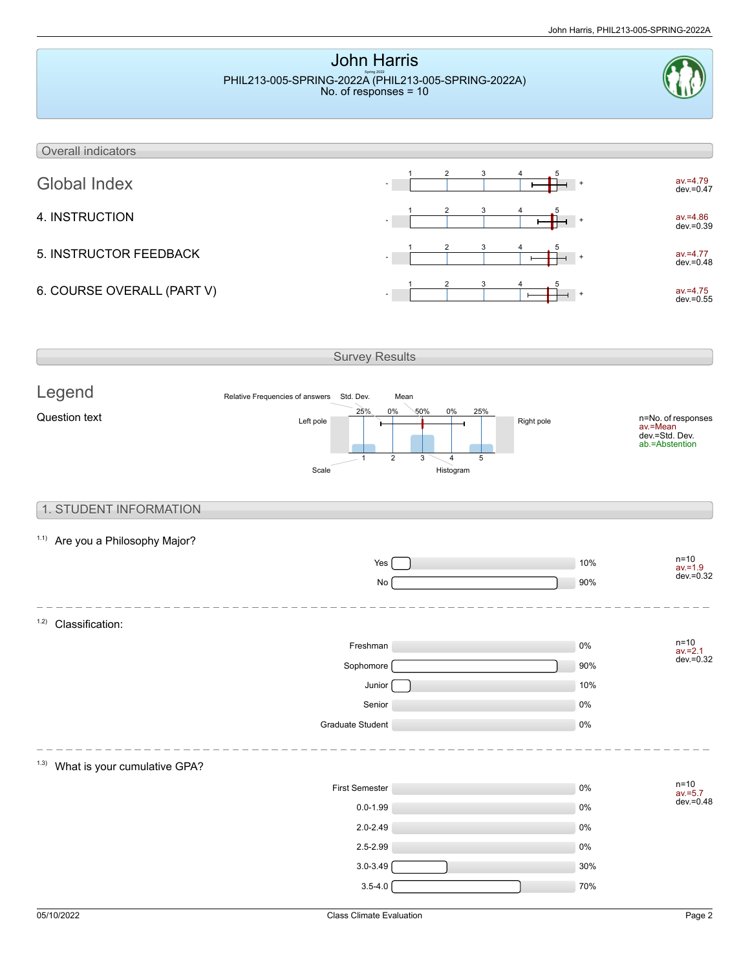

 $3.5 - 4.0$   $70\%$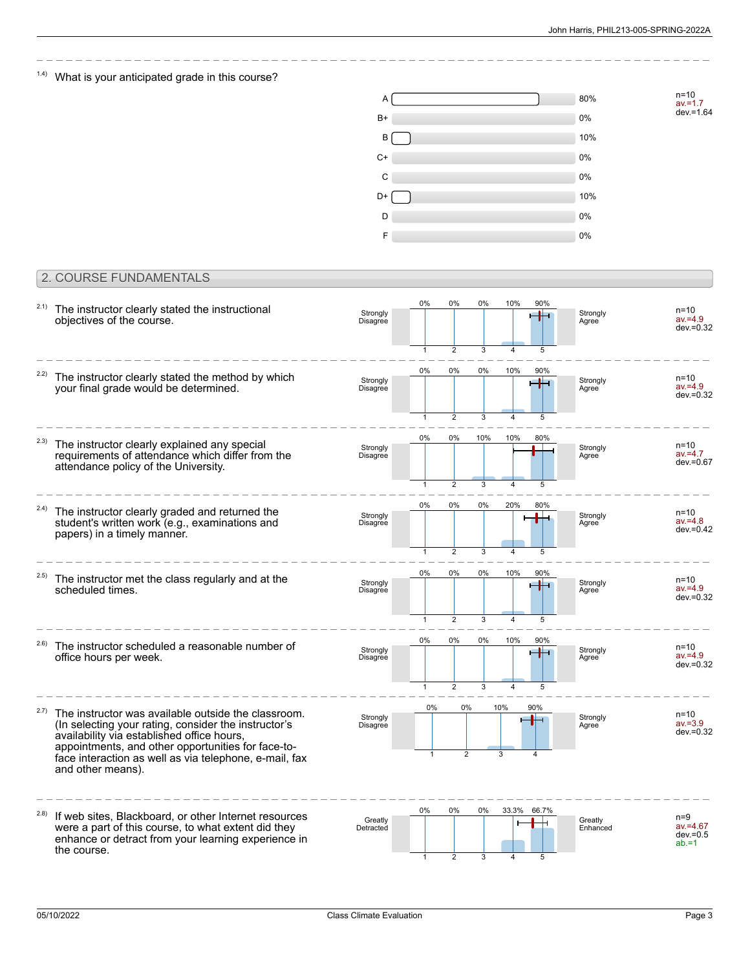n=10 av.=1.7 dev.=1.64

### $1.4$ ) What is your anticipated grade in this course?



#### 2. COURSE FUNDAMENTALS

| 2.1)  | The instructor clearly stated the instructional<br>objectives of the course.                                                                                                                                                                                                                   | Strongly<br>Disagree | 0%<br>1    | 0%<br>2                                | 0%<br>3       | 10%<br>$\overline{4}$            | 90%<br>5   | Strongly<br>Agree   | $n=10$<br>$av = 4.9$<br>$dev = 0.32$            |
|-------|------------------------------------------------------------------------------------------------------------------------------------------------------------------------------------------------------------------------------------------------------------------------------------------------|----------------------|------------|----------------------------------------|---------------|----------------------------------|------------|---------------------|-------------------------------------------------|
| 2.2)  | The instructor clearly stated the method by which<br>your final grade would be determined.                                                                                                                                                                                                     | Strongly<br>Disagree | 0%         | 0%                                     | $0\%$         | 10%                              | 90%        | Strongly<br>Agree   | $n=10$<br>$av = 4.9$<br>$dev = 0.32$            |
| 2.3)  | The instructor clearly explained any special<br>requirements of attendance which differ from the<br>attendance policy of the University.                                                                                                                                                       | Strongly<br>Disagree | 0%         | $\overline{2}$<br>0%<br>$\overline{2}$ | 3<br>10%<br>3 | 10%<br>$\overline{4}$            | 80%<br>5   | Strongly<br>Agree   | $n=10$<br>$av = 4.7$<br>dev.=0.67               |
| 2.4)  | The instructor clearly graded and returned the<br>student's written work (e.g., examinations and<br>papers) in a timely manner.                                                                                                                                                                | Strongly<br>Disagree | 0%<br>1    | 0%<br>$\overline{2}$                   | 0%<br>3       | 20%                              | 80%<br>5   | Strongly<br>Agree   | $n=10$<br>$av = 4.8$<br>$dev = 0.42$            |
| (2.5) | The instructor met the class regularly and at the<br>scheduled times.                                                                                                                                                                                                                          | Strongly<br>Disagree | $0\%$<br>1 | 0%<br>$\overline{2}$                   | 0%<br>3       | 10%<br>$\overline{4}$            | 90%<br>5   | Strongly<br>Agree   | $n=10$<br>$av = 4.9$<br>dev.=0.32               |
| 2.6)  | The instructor scheduled a reasonable number of<br>office hours per week.                                                                                                                                                                                                                      | Strongly<br>Disagree | 0%<br>1    | 0%<br>$\overline{2}$                   | $0\%$<br>3    | 10%<br>$\overline{4}$            | 90%        | Strongly<br>Agree   | $n=10$<br>$av = 4.9$<br>$dev = 0.32$            |
| 2.7)  | The instructor was available outside the classroom.<br>(In selecting your rating, consider the instructor's<br>availability via established office hours,<br>appointments, and other opportunities for face-to-<br>face interaction as well as via telephone, e-mail, fax<br>and other means). | Strongly<br>Disagree | 0%         | 0%<br>$\overline{2}$                   |               | 10%<br>3                         | 90%        | Strongly<br>Agree   | $n=10$<br>$av = 3.9$<br>dev.=0.32               |
| 2.8)  | If web sites, Blackboard, or other Internet resources<br>were a part of this course, to what extent did they<br>enhance or detract from your learning experience in<br>the course.                                                                                                             | Greatly<br>Detracted | 0%<br>1    | 0%<br>$\overline{2}$                   | 0%<br>3       | 33.3%<br>$\overline{\mathbf{A}}$ | 66.7%<br>5 | Greatly<br>Enhanced | $n=9$<br>$av = 4.67$<br>$dev = 0.5$<br>$ab = 1$ |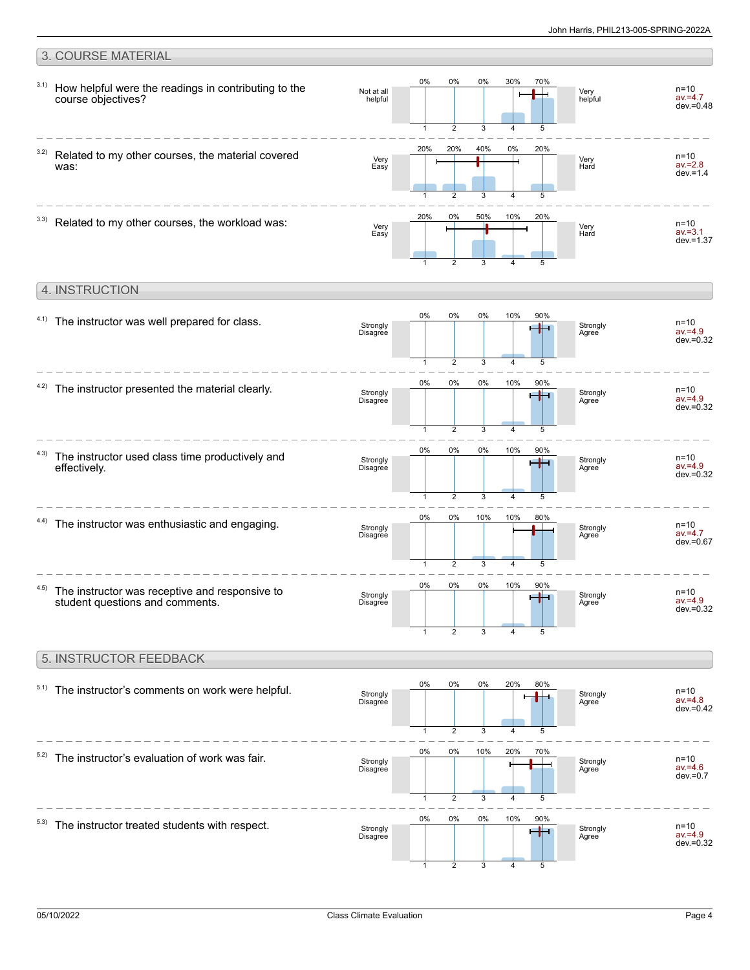#### 3. COURSE MATERIAL 0% 0% 0% 30% 70% 3.1) How helpful were the readings in contributing to the n=10 Not at all ╄ Very helpful  $av = 4.7$ course objectives? helpful dev.=0.48 5  $\overline{2}$ 3 4 1 20% 20% 40% 0% 20% 3.2) Related to my other courses, the material covered n=10 Very Very Hard av.=2.8 was: Easy dev $=1.4$ 3  $\overline{A}$ 5 1 2 20% 0% 50% 10% 20%  $3.3)$  Related to my other courses, the workload was: n=10 Very Easy Ė Very Hard av.=3.1  $d$ ev = 1.37 3 5 1 2 4 4. INSTRUCTION 0% 0% 0% 10% 90%  $4.1)$  The instructor was well prepared for class. n=10 ral i Strongly Disagree Strongly Agree av.=4.9  $dev = 0.32$ 3 5 1 2 4 0% 0% 0% 10% 90%  $4.2$ ) The instructor presented the material clearly. n=10 av.=4.9 Strongly 45 Strongly Agree Disagree dev.=0.32  $\overline{2}$ 3 4 5 1 0% 0% 0% 10% 90% 4.3) The instructor used class time productively and  $n=10$ e de c Strongly Disagree Strongly Agree effectively. av.=4.9 dev.=0.32 3 5  $\overline{\phantom{a}}$  $\overline{A}$ 1 0% 0% 10% 10% 80%  $4.4$ ) The instructor was enthusiastic and engaging. n=10 Strongly Strongly av.=4.7 Disagree Agree  $dev = 0.67$ 3  $\overline{4}$ 5 1  $\mathfrak{D}$ 0% 0% 0% 10% 90% 4.5) The instructor was receptive and responsive to n=10 Strongly + **Strongly** av.=4.9 student questions and comments. Disagree Agree dev.=0.32 1 2 3 4 5 5. INSTRUCTOR FEEDBACK 0% 0% 0% 20% 80%  $5.1)$  The instructor's comments on work were helpful. n=10 av.=4.8 H Strongly Disagree Strongly Agree dev.=0.42  $\overline{2}$ 3 5 1 4 0% 0% 10% 20% 70%  $5.2)$  The instructor's evaluation of work was fair.  $n=10$ **Strongly** Strongly Disagree J.  $av = 4.6$ Agree dev.=0.7 3 5 1 2 4 0% 0% 0% 10% 90%  $5.3)$  The instructor treated students with respect. n=10 **Strongly** Strongly Disagree صارص av.=4.9

1

2

3

4

5

dev.=0.32

**Agree**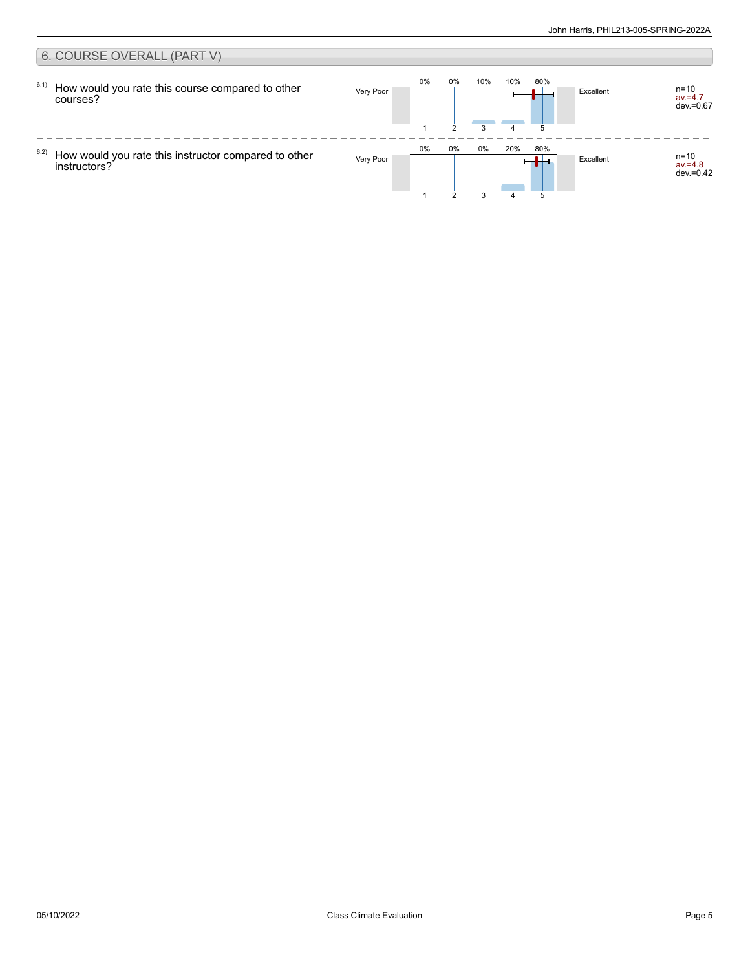#### 6. COURSE OVERALL (PART V) 0% 0% 10% 10% 80% 6.1) How would you rate this course compared to other Very Poor **Excellent** n=10 av.=4.7 dev.=0.67 courses? 1 2 3 4 5  $\frac{1}{2}$  $- - - -$ 0% 0% 0% 20% 80% 6.2) Very Poor  $\begin{array}{|c|c|c|c|c|c|}\n\hline\n\text{Very Poor} & \text{O\%} & \text{O\%} & \text{O\%} & \text{O\%} \\
\hline\n\end{array}$ How would you rate this instructor compared to other av.=4.8 dev.=0.42 instructors?  $\mathfrak{p}$ 3 51 4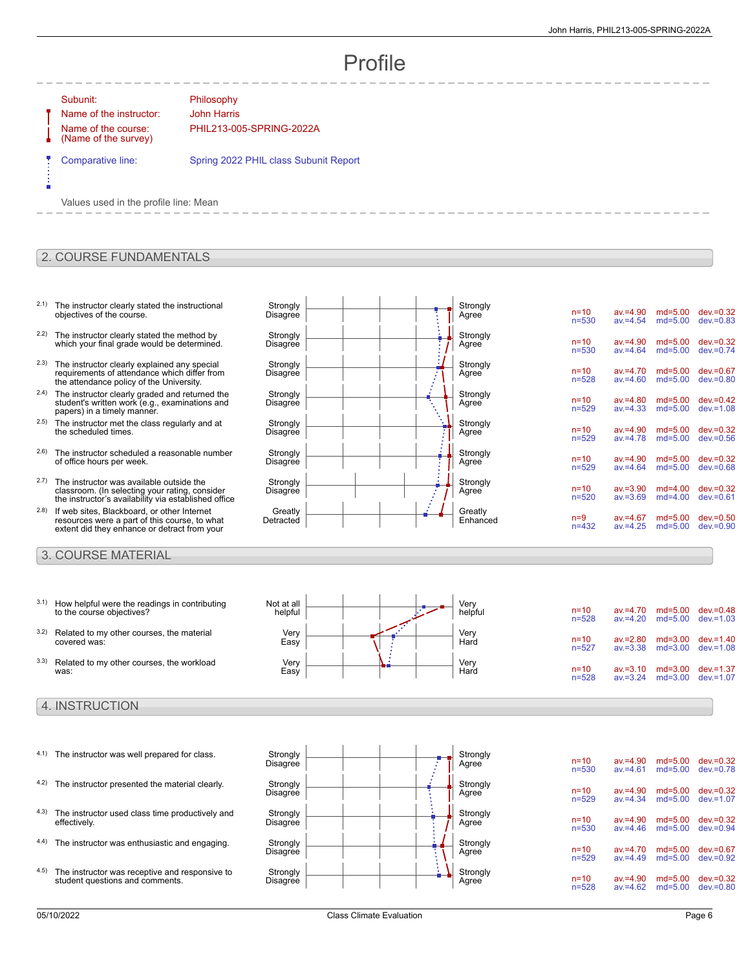# Profile

#### Subunit: Philosophy

Name of the instructor: John Harris Name of the course: (Name of the survey)

PHIL213-005-SPRING-2022A

Comparative line: Spring 2022 PHIL class Subunit Report

Values used in the profile line: Mean

#### 2. COURSE FUNDAMENTALS

- 2.1) The instructor clearly stated the instructional objectives of the course.
- 2.2) The instructor clearly stated the method by which your final grade would be determined.
- 2.3) The instructor clearly explained any special requirements of attendance which differ from the attendance policy of the University.
- 2.4) The instructor clearly graded and returned the student's written work (e.g., examinations and papers) in a timely manner.
- 2.5) The instructor met the class regularly and at the scheduled times.
- 2.6) The instructor scheduled a reasonable number of office hours per week.
- 2.7) The instructor was available outside the classroom. (In selecting your rating, consider the instructor's availability via established office
- 2.8) If web sites, Blackboard, or other Internet resources were a part of this course, to what extent did they enhance or detract from your

#### 3. COURSE MATERIAL

- 3.1) How helpful were the readings in contributing to the course objectives?
- 3.2) Related to my other courses, the material covered was:
- 3.3) Related to my other courses, the workload was:

#### 4. INSTRUCTION

- $4.1$ ) The instructor was well prepared for class. 4.2) The instructor presented the material clearly. 4.3) The instructor used class time productively and
- 4.4) The instructor was enthusiastic and engaging. Strongly
- 4.5) The instructor was receptive and responsive to student questions and comments.

| Strongly  |  | Strongly |                       |                            |                          |                              |
|-----------|--|----------|-----------------------|----------------------------|--------------------------|------------------------------|
| Disagree  |  | Agree    | $n = 10$<br>$n = 530$ | $av = 4.90$<br>$av = 4.54$ | $md = 5.00$<br>$md=5.00$ | $dev = 0.32$<br>$dev = 0.83$ |
| Strongly  |  | Strongly |                       |                            |                          |                              |
| Disagree  |  | Agree    | $n=10$<br>$n = 530$   | $av = 4.90$<br>$av = 4.64$ | $md = 5.00$<br>$md=5.00$ | $dev = 0.32$<br>$dev = 0.74$ |
| Strongly  |  | Strongly |                       |                            |                          |                              |
| Disagree  |  | Agree    | $n = 10$<br>$n = 528$ | $av = 4.70$<br>$av = 4.60$ | $md = 5.00$<br>$md=5.00$ | $dev = 0.67$<br>$dev = 0.80$ |
| Strongly  |  | Strongly |                       |                            |                          |                              |
| Disagree  |  | Agree    | $n=10$<br>$n = 529$   | $av = 4.80$<br>$av = 4.33$ | $md=5.00$<br>$md=5.00$   | $dev = 0.42$<br>$dev = 1.08$ |
| Strongly  |  | Strongly |                       |                            |                          |                              |
| Disagree  |  | Agree    | $n=10$<br>$n = 529$   | $av = 4.90$<br>$av = 4.78$ | $md = 5.00$<br>$md=5.00$ | $dev = 0.32$<br>$dev = 0.56$ |
| Strongly  |  | Strongly |                       |                            |                          |                              |
| Disagree  |  | Agree    | $n = 10$<br>$n = 529$ | $av = 4.90$<br>$av = 4.64$ | $md = 5.00$<br>$md=5.00$ | $dev = 0.32$<br>$dev = 0.68$ |
| Strongly  |  | Strongly |                       |                            |                          |                              |
| Disagree  |  | Agree    | $n=10$<br>$n = 520$   | $av = 3.90$<br>$av = 3.69$ | $md=4.00$<br>$md=4.00$   | $dev = 0.32$<br>$dev = 0.61$ |
| Greatly   |  | Greatly  |                       |                            |                          |                              |
| Detracted |  | Enhanced | $n=9$<br>$n = 432$    | $av = 4.67$<br>$av = 4.25$ | $md=5.00$<br>$md=5.00$   | $dev = 0.50$<br>$dev = 0.90$ |
|           |  |          |                       |                            |                          |                              |

 $\begin{vmatrix} 1 & 1 \end{vmatrix}$  Strongly

| Not at all<br>helpful |   | Verv<br>helpful | $n = 10$<br>$n = 528$ | $av = 4.70$<br>$av = 4.20$ | md=5.00<br>$md=5.00$       | $dev = 0.48$<br>$dev = 1.03$ |
|-----------------------|---|-----------------|-----------------------|----------------------------|----------------------------|------------------------------|
|                       |   |                 |                       |                            |                            |                              |
| Very<br>Easy          |   | Very<br>Hard    | $n = 10$<br>$n = 527$ | $av = 2.80$<br>$av = 3.38$ | $md = 3.00$<br>$md = 3.00$ | $dev = 1.40$<br>$dev = 1.08$ |
| Very<br>Easy          | œ | Very<br>Hard    | $n = 10$<br>$n = 528$ | $av = 3.10$<br>$av = 3.24$ | $md = 3.00$<br>$md = 3.00$ | $dev = 1.37$<br>$dev = 1.07$ |



| Strongly | $n = 10$  | $av = 4.90$ | $md = 5.00$ | $dev = 0.32$ |
|----------|-----------|-------------|-------------|--------------|
| Agree    | $n = 530$ | $av = 4.61$ | $md = 5.00$ | $dev = 0.78$ |
| Strongly | $n = 10$  | $av = 4.90$ | $md = 5.00$ | $dev = 0.32$ |
| Agree    | $n = 529$ | $av = 4.34$ | $md = 5.00$ | $dev = 1.07$ |
| Strongly | $n = 10$  | $av = 4.90$ | $md = 5.00$ | $dev = 0.32$ |
| Agree    | $n = 530$ | $av = 4.46$ | $md = 5.00$ | $dev = 0.94$ |
| Strongly | $n = 10$  | $av = 4.70$ | $md = 5.00$ | $dev = 0.67$ |
| Agree    | $n = 529$ | $av = 4.49$ | $md = 5.00$ | $dev = 0.92$ |
| Strongly | $n = 10$  | $av = 4.90$ | $md = 5.00$ | $dev = 0.32$ |
| Agree    | $n = 528$ | $av = 4.62$ | $md=5.00$   | $dev = 0.80$ |

effectively.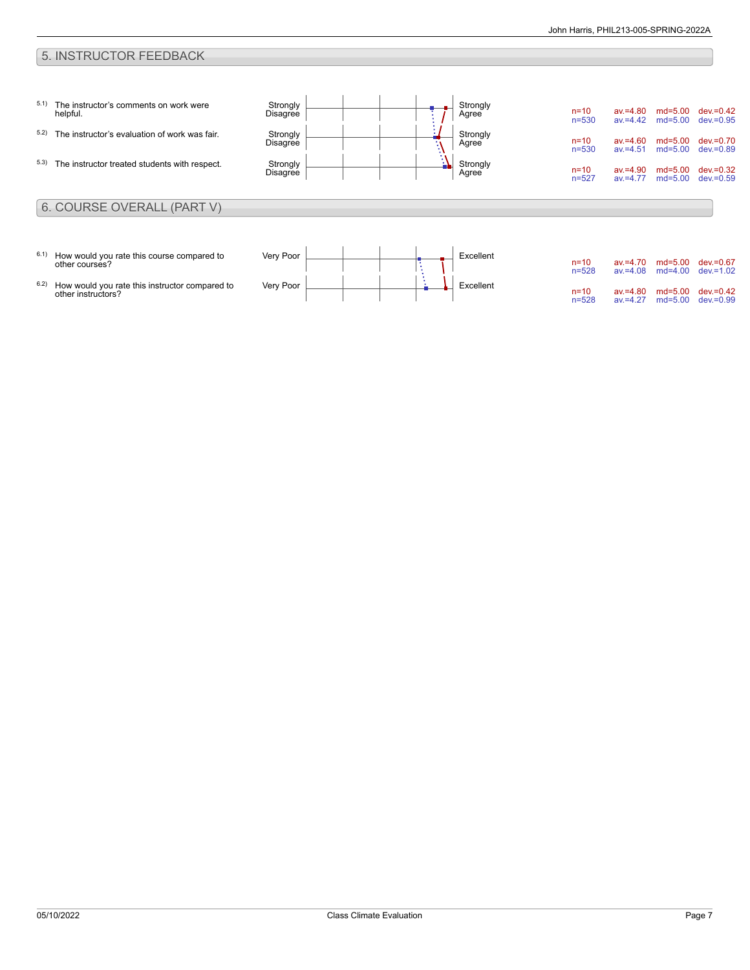### 5. INSTRUCTOR FEEDBACK

| 5.1)<br>5.2)<br>5.3) | The instructor's comments on work were<br>helpful.<br>The instructor's evaluation of work was fair.<br>The instructor treated students with respect. | Strongly<br>Disagree<br>Strongly<br>Disagree<br>Strongly<br>Disagree | $\bullet$<br>÷. | Strongly<br>Agree<br>Strongly<br>Agree<br>Strongly<br>Agree | $n = 10$<br>$n = 530$<br>$n=10$<br>$n = 530$<br>$n = 10$<br>$n = 527$ | $av = 4.80$<br>$av = 4.42$<br>$av = 4.60$<br>$av = 4.51$<br>$av = 4.90$<br>$av = 4.77$ | $md = 5.00$<br>$md = 5.00$<br>$md = 5.00$<br>$md = 5.00$<br>$md = 5.00$<br>$md = 5.00$ | $dev = 0.42$<br>$dev = 0.95$<br>$dev = 0.70$<br>$dev = 0.89$<br>$dev = 0.32$<br>$dev = 0.59$ |
|----------------------|------------------------------------------------------------------------------------------------------------------------------------------------------|----------------------------------------------------------------------|-----------------|-------------------------------------------------------------|-----------------------------------------------------------------------|----------------------------------------------------------------------------------------|----------------------------------------------------------------------------------------|----------------------------------------------------------------------------------------------|
|                      | 6. COURSE OVERALL (PART V)                                                                                                                           |                                                                      |                 |                                                             |                                                                       |                                                                                        |                                                                                        |                                                                                              |
| 6.1)                 | How would you rate this course compared to                                                                                                           | Very Poor                                                            |                 | Excellent                                                   |                                                                       |                                                                                        |                                                                                        |                                                                                              |
|                      | other courses?                                                                                                                                       |                                                                      |                 |                                                             | $n=10$<br>$n = 528$                                                   | $av = 4.70$<br>$av = 4.08$                                                             | $md = 5.00$<br>$md=4.00$                                                               | $dev = 0.67$<br>$dev = 1.02$                                                                 |
| 6.2)                 | How would you rate this instructor compared to<br>other instructors?                                                                                 | Very Poor                                                            |                 | Excellent                                                   | $n = 10$<br>$n = 528$                                                 | $av = 4.80$<br>$av = 4.27$                                                             | $md = 5.00$<br>$md = 5.00$                                                             | $dev = 0.42$<br>$dev = 0.99$                                                                 |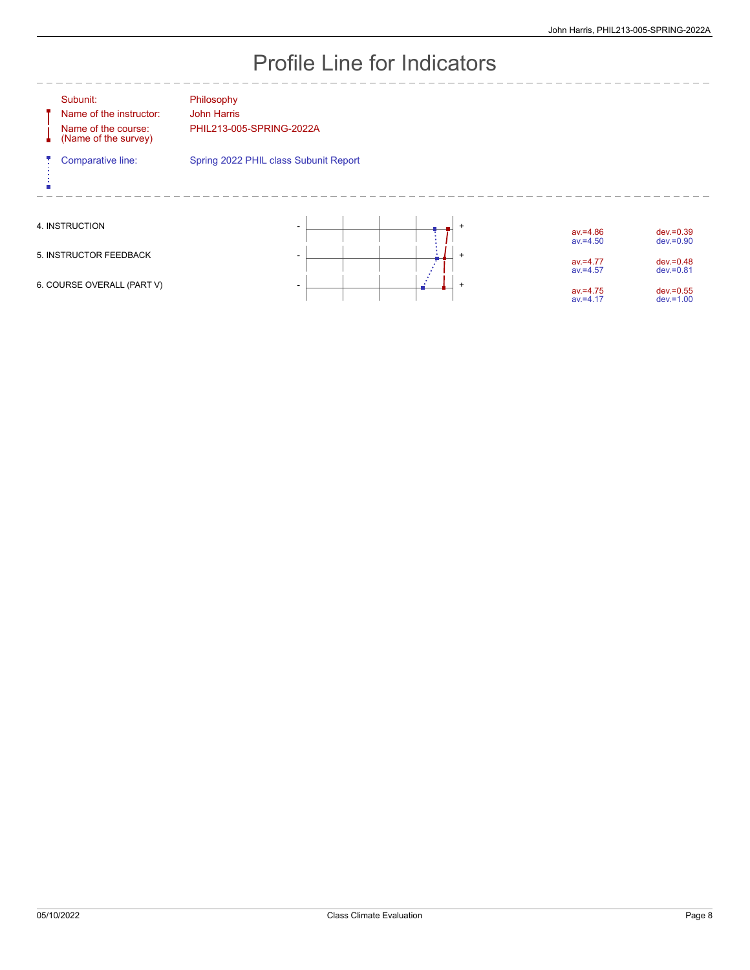# Profile Line for Indicators

|                            | Subunit:<br>Name of the instructor:<br>Name of the course:<br>(Name of the survey) | Philosophy<br><b>John Harris</b><br>PHIL213-005-SPRING-2022A |                            |                              |
|----------------------------|------------------------------------------------------------------------------------|--------------------------------------------------------------|----------------------------|------------------------------|
|                            | Comparative line:                                                                  | Spring 2022 PHIL class Subunit Report                        |                            |                              |
|                            | 4. INSTRUCTION                                                                     | $\ddot{}$                                                    | $av = 4.86$<br>$av = 4.50$ | $dev = 0.39$<br>$dev = 0.90$ |
| 5. INSTRUCTOR FEEDBACK     |                                                                                    | $\overline{+}$<br>۰                                          | $av = 4.77$<br>$av = 4.57$ | $dev = 0.48$<br>$dev = 0.81$ |
| 6. COURSE OVERALL (PART V) |                                                                                    | $^{+}$                                                       | $av = 4.75$<br>$av = 4.17$ | $dev = 0.55$<br>$dev = 1.00$ |